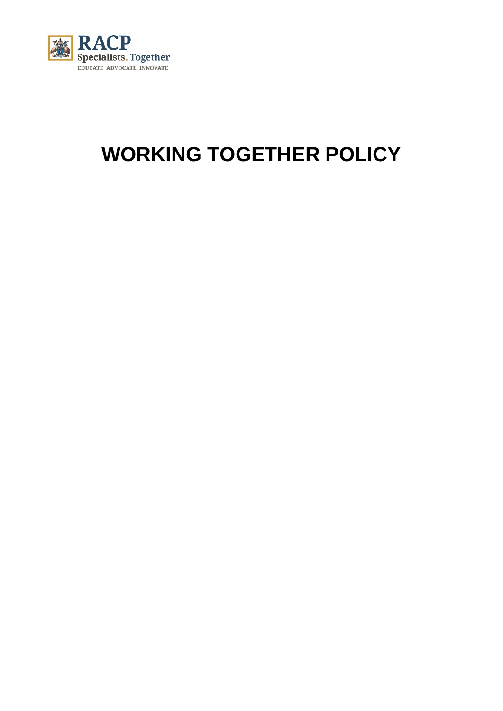

# **WORKING TOGETHER POLICY**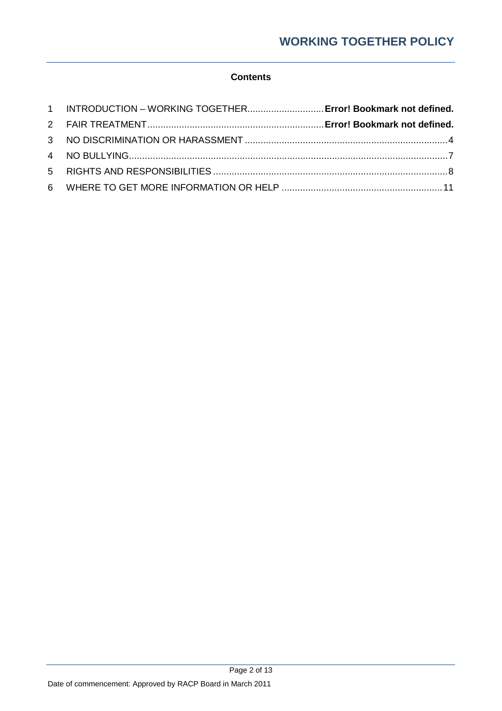## **Contents**

| 1 INTRODUCTION - WORKING TOGETHER Error! Bookmark not defined. |  |
|----------------------------------------------------------------|--|
|                                                                |  |
|                                                                |  |
|                                                                |  |
|                                                                |  |
|                                                                |  |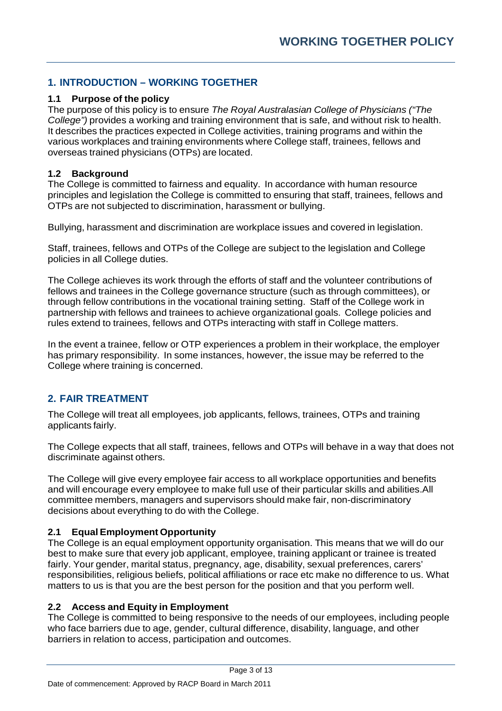# **1. INTRODUCTION – WORKING TOGETHER**

## **1.1 Purpose of the policy**

The purpose of this policy is to ensure *The Royal Australasian College of Physicians ("The College")* provides a working and training environment that is safe, and without risk to health. It describes the practices expected in College activities, training programs and within the various workplaces and training environments where College staff, trainees, fellows and overseas trained physicians (OTPs) are located.

## **1.2 Background**

The College is committed to fairness and equality. In accordance with human resource principles and legislation the College is committed to ensuring that staff, trainees, fellows and OTPs are not subjected to discrimination, harassment or bullying.

Bullying, harassment and discrimination are workplace issues and covered in legislation.

Staff, trainees, fellows and OTPs of the College are subject to the legislation and College policies in all College duties.

The College achieves its work through the efforts of staff and the volunteer contributions of fellows and trainees in the College governance structure (such as through committees), or through fellow contributions in the vocational training setting. Staff of the College work in partnership with fellows and trainees to achieve organizational goals. College policies and rules extend to trainees, fellows and OTPs interacting with staff in College matters.

In the event a trainee, fellow or OTP experiences a problem in their workplace, the employer has primary responsibility. In some instances, however, the issue may be referred to the College where training is concerned.

# **2. FAIR TREATMENT**

The College will treat all employees, job applicants, fellows, trainees, OTPs and training applicants fairly.

The College expects that all staff, trainees, fellows and OTPs will behave in a way that does not discriminate against others.

The College will give every employee fair access to all workplace opportunities and benefits and will encourage every employee to make full use of their particular skills and abilities.All committee members, managers and supervisors should make fair, non-discriminatory decisions about everything to do with the College.

## **2.1 Equal Employment Opportunity**

The College is an equal employment opportunity organisation. This means that we will do our best to make sure that every job applicant, employee, training applicant or trainee is treated fairly. Your gender, marital status, pregnancy, age, disability, sexual preferences, carers' responsibilities, religious beliefs, political affiliations or race etc make no difference to us. What matters to us is that you are the best person for the position and that you perform well.

## **2.2 Access and Equity in Employment**

The College is committed to being responsive to the needs of our employees, including people who face barriers due to age, gender, cultural difference, disability, language, and other barriers in relation to access, participation and outcomes.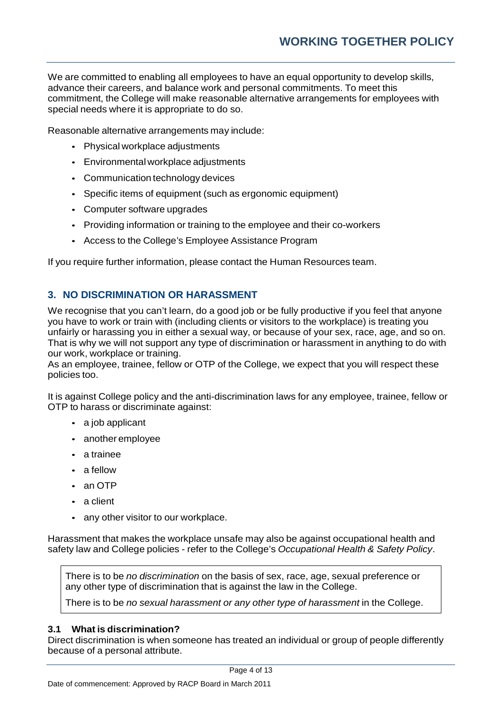We are committed to enabling all employees to have an equal opportunity to develop skills, advance their careers, and balance work and personal commitments. To meet this commitment, the College will make reasonable alternative arrangements for employees with special needs where it is appropriate to do so.

Reasonable alternative arrangements may include:

- Physical workplace adjustments
- Environmental workplace adjustments
- Communication technology devices
- Specific items of equipment (such as ergonomic equipment)
- Computer software upgrades
- Providing information or training to the employee and their co-workers
- Access to the College's Employee Assistance Program

If you require further information, please contact the Human Resources team.

## **3. NO DISCRIMINATION OR HARASSMENT**

We recognise that you can't learn, do a good job or be fully productive if you feel that anyone you have to work or train with (including clients or visitors to the workplace) is treating you unfairly or harassing you in either a sexual way, or because of your sex, race, age, and so on. That is why we will not support any type of discrimination or harassment in anything to do with our work, workplace or training.

As an employee, trainee, fellow or OTP of the College, we expect that you will respect these policies too.

It is against College policy and the anti-discrimination laws for any employee, trainee, fellow or OTP to harass or discriminate against:

- a job applicant
- another employee
- a trainee
- a fellow
- an OTP
- a client
- any other visitor to our workplace.

Harassment that makes the workplace unsafe may also be against occupational health and safety law and College policies - refer to the College's *Occupational Health & Safety Policy*.

There is to be *no discrimination* on the basis of sex, race, age, sexual preference or any other type of discrimination that is against the law in the College.

There is to be *no sexual harassment or any other type of harassment* in the College.

## **3.1 What is discrimination?**

Direct discrimination is when someone has treated an individual or group of people differently because of a personal attribute.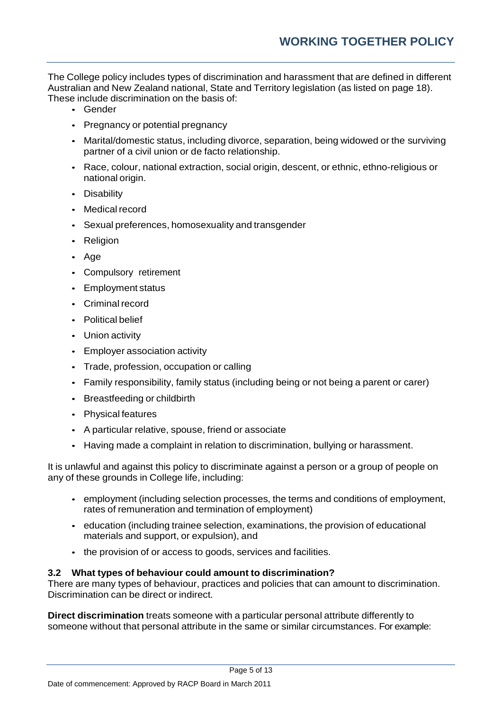The College policy includes types of discrimination and harassment that are defined in different Australian and New Zealand national, State and Territory legislation (as listed on page 18). These include discrimination on the basis of:

- Gender
- Pregnancy or potential pregnancy
- Marital/domestic status, including divorce, separation, being widowed or the surviving partner of a civil union or de facto relationship.
- Race, colour, national extraction, social origin, descent, or ethnic, ethno-religious or national origin.
- Disability
- Medical record
- Sexual preferences, homosexuality and transgender
- Religion
- Age
- Compulsory retirement
- Employment status
- Criminal record
- Political belief
- Union activity
- Employer association activity
- Trade, profession, occupation or calling
- Family responsibility, family status (including being or not being a parent or carer)
- Breastfeeding or childbirth
- Physical features
- A particular relative, spouse, friend or associate
- Having made a complaint in relation to discrimination, bullying or harassment.

It is unlawful and against this policy to discriminate against a person or a group of people on any of these grounds in College life, including:

- employment (including selection processes, the terms and conditions of employment, rates of remuneration and termination of employment)
- education (including trainee selection, examinations, the provision of educational materials and support, or expulsion), and
- the provision of or access to goods, services and facilities.

## **3.2 What types of behaviour could amount to discrimination?**

There are many types of behaviour, practices and policies that can amount to discrimination. Discrimination can be direct or indirect.

**Direct discrimination** treats someone with a particular personal attribute differently to someone without that personal attribute in the same or similar circumstances. For example: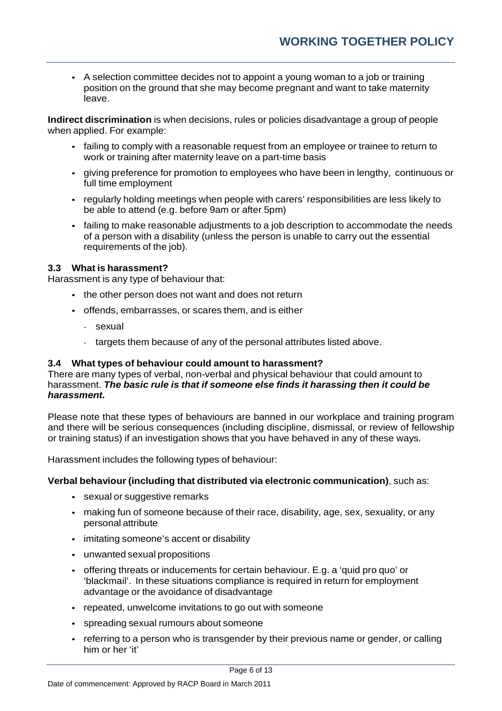• A selection committee decides not to appoint a young woman to a job or training position on the ground that she may become pregnant and want to take maternity leave.

**Indirect discrimination** is when decisions, rules or policies disadvantage a group of people when applied. For example:

- failing to comply with a reasonable request from an employee or trainee to return to work or training after maternity leave on a part-time basis
- giving preference for promotion to employees who have been in lengthy, continuous or full time employment
- regularly holding meetings when people with carers' responsibilities are less likely to be able to attend (e.g. before 9am or after 5pm)
- failing to make reasonable adjustments to a job description to accommodate the needs of a person with a disability (unless the person is unable to carry out the essential requirements of the job).

## **3.3 What is harassment?**

Harassment is any type of behaviour that:

- the other person does not want and does not return
- offends, embarrasses, or scares them, and is either
	- sexual
	- targets them because of any of the personal attributes listed above.

## **3.4 What types of behaviour could amount to harassment?**

There are many types of verbal, non-verbal and physical behaviour that could amount to harassment. *The basic rule is that if someone else finds it harassing then it could be harassment.*

Please note that these types of behaviours are banned in our workplace and training program and there will be serious consequences (including discipline, dismissal, or review of fellowship or training status) if an investigation shows that you have behaved in any of these ways.

Harassment includes the following types of behaviour:

## **Verbal behaviour (including that distributed via electronic communication)**, such as:

- sexual or suggestive remarks
- making fun of someone because of their race, disability, age, sex, sexuality, or any personal attribute
- imitating someone's accent or disability
- unwanted sexual propositions
- offering threats or inducements for certain behaviour. E.g. a 'quid pro quo' or 'blackmail'. In these situations compliance is required in return for employment advantage or the avoidance of disadvantage
- repeated, unwelcome invitations to go out with someone
- spreading sexual rumours about someone
- referring to a person who is transgender by their previous name or gender, or calling him or her 'it'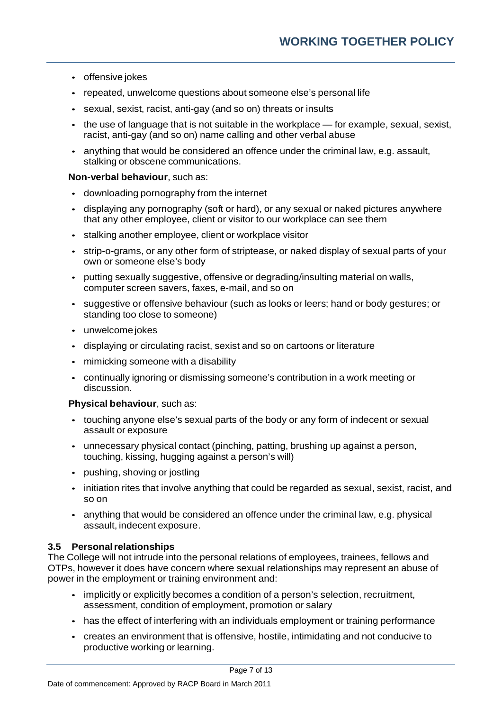- offensive jokes
- repeated, unwelcome questions about someone else's personal life
- sexual, sexist, racist, anti-gay (and so on) threats or insults
- the use of language that is not suitable in the workplace for example, sexual, sexist, racist, anti-gay (and so on) name calling and other verbal abuse
- anything that would be considered an offence under the criminal law, e.g. assault, stalking or obscene communications.

## **Non-verbal behaviour**, such as:

- downloading pornography from the internet
- displaying any pornography (soft or hard), or any sexual or naked pictures anywhere that any other employee, client or visitor to our workplace can see them
- stalking another employee, client or workplace visitor
- strip-o-grams, or any other form of striptease, or naked display of sexual parts of your own or someone else's body
- putting sexually suggestive, offensive or degrading/insulting material on walls, computer screen savers, faxes, e-mail, and so on
- suggestive or offensive behaviour (such as looks or leers; hand or body gestures; or standing too close to someone)
- unwelcome jokes
- displaying or circulating racist, sexist and so on cartoons or literature
- mimicking someone with a disability
- continually ignoring or dismissing someone's contribution in a work meeting or discussion.

## **Physical behaviour**, such as:

- touching anyone else's sexual parts of the body or any form of indecent or sexual assault or exposure
- unnecessary physical contact (pinching, patting, brushing up against a person, touching, kissing, hugging against a person's will)
- pushing, shoving or jostling
- initiation rites that involve anything that could be regarded as sexual, sexist, racist, and so on
- anything that would be considered an offence under the criminal law, e.g. physical assault, indecent exposure.

## **3.5 Personalrelationships**

The College will not intrude into the personal relations of employees, trainees, fellows and OTPs, however it does have concern where sexual relationships may represent an abuse of power in the employment or training environment and:

- implicitly or explicitly becomes a condition of a person's selection, recruitment, assessment, condition of employment, promotion or salary
- has the effect of interfering with an individuals employment or training performance
- creates an environment that is offensive, hostile, intimidating and not conducive to productive working or learning.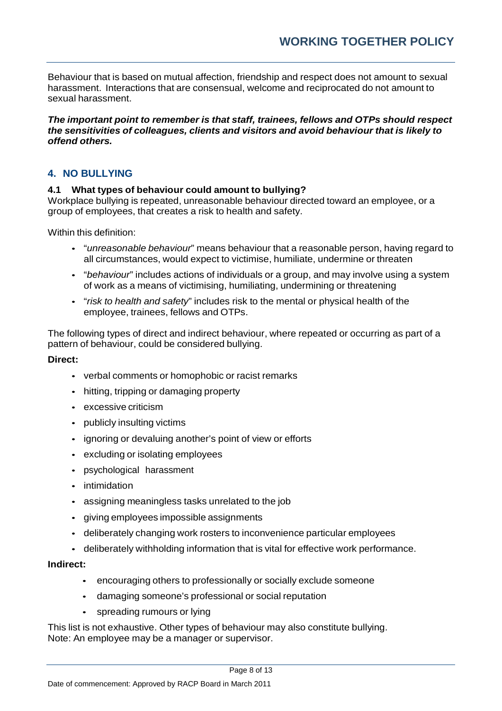Behaviour that is based on mutual affection, friendship and respect does not amount to sexual harassment. Interactions that are consensual, welcome and reciprocated do not amount to sexual harassment.

*The important point to remember is that staff, trainees, fellows and OTPs should respect the sensitivities of colleagues, clients and visitors and avoid behaviour that is likely to offend others.*

## **4. NO BULLYING**

## **4.1 What types of behaviour could amount to bullying?**

Workplace bullying is repeated, unreasonable behaviour directed toward an employee, or a group of employees, that creates a risk to health and safety.

Within this definition:

- "*unreasonable behaviour*" means behaviour that a reasonable person, having regard to all circumstances, would expect to victimise, humiliate, undermine or threaten
- "*behaviour*" includes actions of individuals or a group, and may involve using a system of work as a means of victimising, humiliating, undermining or threatening
- "*risk to health and safety*" includes risk to the mental or physical health of the employee, trainees, fellows and OTPs.

The following types of direct and indirect behaviour, where repeated or occurring as part of a pattern of behaviour, could be considered bullying.

## **Direct:**

- verbal comments or homophobic or racist remarks
- hitting, tripping or damaging property
- excessive criticism
- publicly insulting victims
- ignoring or devaluing another's point of view or efforts
- excluding or isolating employees
- psychological harassment
- intimidation
- assigning meaningless tasks unrelated to the job
- giving employees impossible assignments
- deliberately changing work rosters to inconvenience particular employees
- deliberately withholding information that is vital for effective work performance.

## **Indirect:**

- encouraging others to professionally or socially exclude someone
- damaging someone's professional or social reputation
- spreading rumours or lying

This list is not exhaustive. Other types of behaviour may also constitute bullying. Note: An employee may be a manager or supervisor.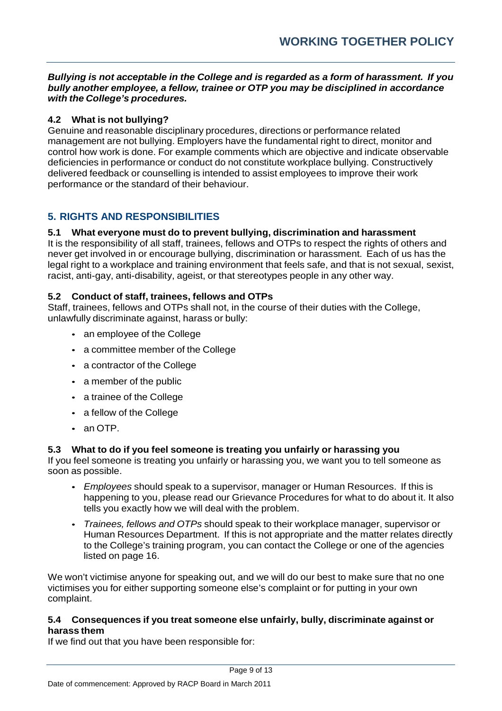## *Bullying is not acceptable in the College and is regarded as a form of harassment. If you bully another employee, a fellow, trainee or OTP you may be disciplined in accordance with the College's procedures.*

## **4.2 What is not bullying?**

Genuine and reasonable disciplinary procedures, directions or performance related management are not bullying. Employers have the fundamental right to direct, monitor and control how work is done. For example comments which are objective and indicate observable deficiencies in performance or conduct do not constitute workplace bullying. Constructively delivered feedback or counselling is intended to assist employees to improve their work performance or the standard of their behaviour.

# **5. RIGHTS AND RESPONSIBILITIES**

## **5.1 What everyone must do to prevent bullying, discrimination and harassment**

It is the responsibility of all staff, trainees, fellows and OTPs to respect the rights of others and never get involved in or encourage bullying, discrimination or harassment. Each of us has the legal right to a workplace and training environment that feels safe, and that is not sexual, sexist, racist, anti-gay, anti-disability, ageist, or that stereotypes people in any other way.

## **5.2 Conduct of staff, trainees, fellows and OTPs**

Staff, trainees, fellows and OTPs shall not, in the course of their duties with the College, unlawfully discriminate against, harass or bully:

- an employee of the College
- a committee member of the College
- a contractor of the College
- a member of the public
- a trainee of the College
- a fellow of the College
- an OTP.

## **5.3 What to do if you feel someone is treating you unfairly or harassing you**

If you feel someone is treating you unfairly or harassing you, we want you to tell someone as soon as possible.

- *Employees* should speak to a supervisor, manager or Human Resources. If this is happening to you, please read our Grievance Procedures for what to do about it. It also tells you exactly how we will deal with the problem.
- *Trainees, fellows and OTPs* should speak to their workplace manager, supervisor or Human Resources Department. If this is not appropriate and the matter relates directly to the College's training program, you can contact the College or one of the agencies listed on page 16.

We won't victimise anyone for speaking out, and we will do our best to make sure that no one victimises you for either supporting someone else's complaint or for putting in your own complaint.

## **5.4 Consequences if you treat someone else unfairly, bully, discriminate against or harass them**

If we find out that you have been responsible for: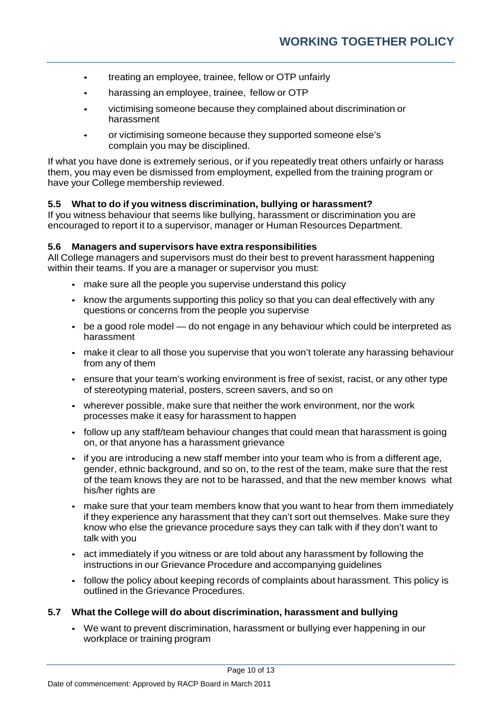- treating an employee, trainee, fellow or OTP unfairly
- harassing an employee, trainee, fellow or OTP
- victimising someone because they complained about discrimination or harassment
- or victimising someone because they supported someone else's complain you may be disciplined.

If what you have done is extremely serious, or if you repeatedly treat others unfairly or harass them, you may even be dismissed from employment, expelled from the training program or have your College membership reviewed.

## **5.5 What to do if you witness discrimination, bullying or harassment?**

If you witness behaviour that seems like bullying, harassment or discrimination you are encouraged to report it to a supervisor, manager or Human Resources Department.

## **5.6 Managers and supervisors have extra responsibilities**

All College managers and supervisors must do their best to prevent harassment happening within their teams. If you are a manager or supervisor you must:

- make sure all the people you supervise understand this policy
- know the arguments supporting this policy so that you can deal effectively with any questions or concerns from the people you supervise
- be a good role model do not engage in any behaviour which could be interpreted as harassment
- make it clear to all those you supervise that you won't tolerate any harassing behaviour from any of them
- ensure that your team's working environment is free of sexist, racist, or any other type of stereotyping material, posters, screen savers, and so on
- wherever possible, make sure that neither the work environment, nor the work processes make it easy for harassment to happen
- follow up any staff/team behaviour changes that could mean that harassment is going on, or that anyone has a harassment grievance
- if you are introducing a new staff member into your team who is from a different age, gender, ethnic background, and so on, to the rest of the team, make sure that the rest of the team knows they are not to be harassed, and that the new member knows what his/her rights are
- make sure that your team members know that you want to hear from them immediately if they experience any harassment that they can't sort out themselves. Make sure they know who else the grievance procedure says they can talk with if they don't want to talk with you
- act immediately if you witness or are told about any harassment by following the instructions in our Grievance Procedure and accompanying guidelines
- follow the policy about keeping records of complaints about harassment. This policy is outlined in the Grievance Procedures.

## **5.7 What the College will do about discrimination, harassment and bullying**

• We want to prevent discrimination, harassment or bullying ever happening in our workplace or training program

Page 10 of 13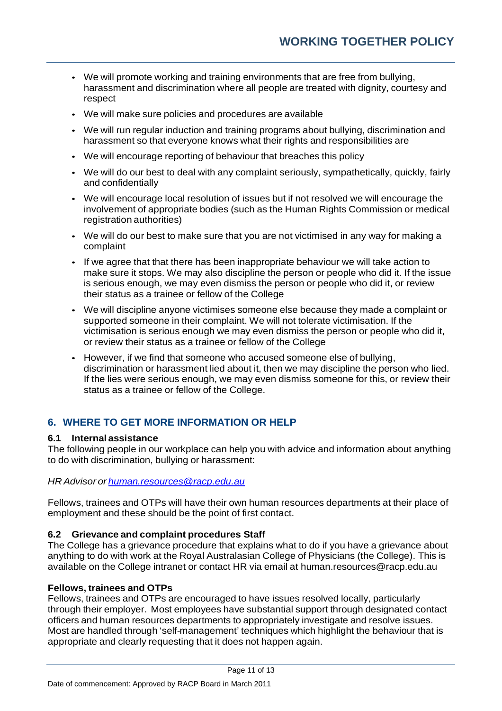- We will promote working and training environments that are free from bullying, harassment and discrimination where all people are treated with dignity, courtesy and respect
- We will make sure policies and procedures are available
- We will run regular induction and training programs about bullying, discrimination and harassment so that everyone knows what their rights and responsibilities are
- We will encourage reporting of behaviour that breaches this policy
- We will do our best to deal with any complaint seriously, sympathetically, quickly, fairly and confidentially
- We will encourage local resolution of issues but if not resolved we will encourage the involvement of appropriate bodies (such as the Human Rights Commission or medical registration authorities)
- We will do our best to make sure that you are not victimised in any way for making a complaint
- If we agree that that there has been inappropriate behaviour we will take action to make sure it stops. We may also discipline the person or people who did it. If the issue is serious enough, we may even dismiss the person or people who did it, or review their status as a trainee or fellow of the College
- We will discipline anyone victimises someone else because they made a complaint or supported someone in their complaint. We will not tolerate victimisation. If the victimisation is serious enough we may even dismiss the person or people who did it, or review their status as a trainee or fellow of the College
- However, if we find that someone who accused someone else of bullying, discrimination or harassment lied about it, then we may discipline the person who lied. If the lies were serious enough, we may even dismiss someone for this, or review their status as a trainee or fellow of the College.

# **6. WHERE TO GET MORE INFORMATION OR HELP**

## **6.1 Internal assistance**

The following people in our workplace can help you with advice and information about anything to do with discrimination, bullying or harassment:

## *HR Advisor or [human.resources@racp.edu.au](mailto:human.resources@racp.edu.au)*

Fellows, trainees and OTPs will have their own human resources departments at their place of employment and these should be the point of first contact.

## **6.2 Grievance and complaint procedures Staff**

The College has a grievance procedure that explains what to do if you have a grievance about anything to do with work at the Royal Australasian College of Physicians (the College). This is available on the College intranet or contact HR via email at [human.resources@racp.edu.au](mailto:human.resources@racp.edu.au)

## **Fellows, trainees and OTPs**

Fellows, trainees and OTPs are encouraged to have issues resolved locally, particularly through their employer. Most employees have substantial support through designated contact officers and human resources departments to appropriately investigate and resolve issues. Most are handled through 'self-management' techniques which highlight the behaviour that is appropriate and clearly requesting that it does not happen again.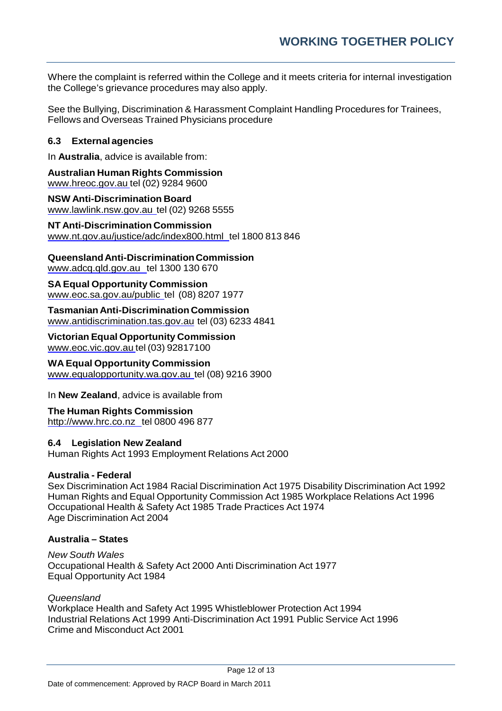Where the complaint is referred within the College and it meets criteria for internal investigation the College's grievance procedures may also apply.

See the Bullying, Discrimination & Harassment Complaint Handling Procedures for Trainees, Fellows and Overseas Trained Physicians procedure

## **6.3 External agencies**

In **Australia**, advice is available from:

**Australian Human Rights Commission** [www.hreoc.gov.au](http://www.hreoc.gov.au/) tel (02) 9284 9600

**NSW Anti-Discrimination Board** [www.lawlink.nsw.gov.au](http://www.lawlink.nsw.gov.au/) tel (02) 9268 5555

**NT Anti-Discrimination Commission** [www.nt.gov.au/justice/adc/index800.html t](http://www.nt.gov.au/justice/adc/index800.html)el 1800 813 846

**QueenslandAnti-DiscriminationCommission**

[www.adcq.qld.gov.au t](http://www.adcq.qld.gov.au/)el 1300 130 670

**SA Equal Opportunity Commission** [www.eoc.sa.gov.au/public](http://www.eoc.sa.gov.au/public) tel (08) 8207 1977

**Tasmanian Anti-Discrimination Commission** [www.antidiscrimination.tas.gov.au](http://www.antidiscrimination.tas.gov.au/) tel (03) 6233 4841

**Victorian Equal Opportunity Commission** [www.eoc.vic.gov.au](http://www.eoc.vic.gov.au/) tel (03) 92817100

**WA Equal Opportunity Commission**

[www.equalopportunity.wa.gov.au](http://www.equalopportunity.wa.gov.au/) tel (08) 9216 3900

In **New Zealand**, advice is available from

**The Human Rights Commission** [http://www.hrc.co.nz t](http://www.hrc.co.nz/)el 0800 496 877

## **6.4 Legislation New Zealand**

Human Rights Act 1993 Employment Relations Act 2000

## **Australia - Federal**

Sex Discrimination Act 1984 Racial Discrimination Act 1975 Disability Discrimination Act 1992 Human Rights and Equal Opportunity Commission Act 1985 Workplace Relations Act 1996 Occupational Health & Safety Act 1985 Trade Practices Act 1974 Age Discrimination Act 2004

## **Australia – States**

*New South Wales* Occupational Health & Safety Act 2000 Anti Discrimination Act 1977 Equal Opportunity Act 1984

## *Queensland*

Workplace Health and Safety Act 1995 Whistleblower Protection Act 1994 Industrial Relations Act 1999 Anti-Discrimination Act 1991 Public Service Act 1996 Crime and Misconduct Act 2001